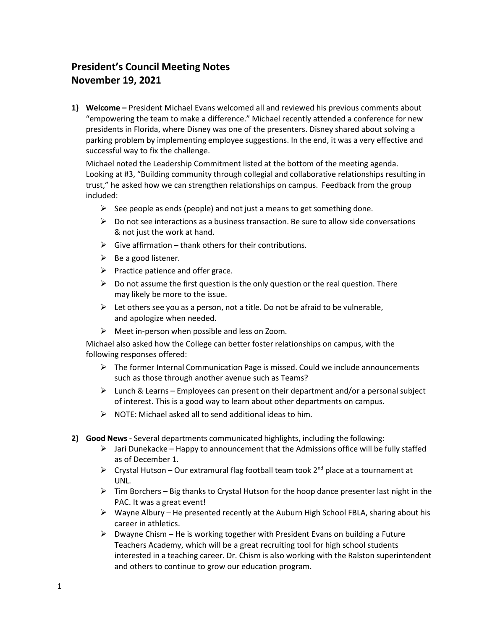## **President's Council Meeting Notes November 19, 2021**

**1) Welcome –** President Michael Evans welcomed all and reviewed his previous comments about "empowering the team to make a difference." Michael recently attended a conference for new presidents in Florida, where Disney was one of the presenters. Disney shared about solving a parking problem by implementing employee suggestions. In the end, it was a very effective and successful way to fix the challenge.

Michael noted the Leadership Commitment listed at the bottom of the meeting agenda. Looking at #3, "Building community through collegial and collaborative relationships resulting in trust," he asked how we can strengthen relationships on campus. Feedback from the group included:

- $\triangleright$  See people as ends (people) and not just a means to get something done.
- $\triangleright$  Do not see interactions as a business transaction. Be sure to allow side conversations & not just the work at hand.
- $\triangleright$  Give affirmation thank others for their contributions.
- $\triangleright$  Be a good listener.
- $\triangleright$  Practice patience and offer grace.
- $\triangleright$  Do not assume the first question is the only question or the real question. There may likely be more to the issue.
- $\triangleright$  Let others see you as a person, not a title. Do not be afraid to be vulnerable, and apologize when needed.
- $\triangleright$  Meet in-person when possible and less on Zoom.

Michael also asked how the College can better foster relationships on campus, with the following responses offered:

- $\triangleright$  The former Internal Communication Page is missed. Could we include announcements such as those through another avenue such as Teams?
- $\triangleright$  Lunch & Learns Employees can present on their department and/or a personal subject of interest. This is a good way to learn about other departments on campus.
- $\triangleright$  NOTE: Michael asked all to send additional ideas to him.
- **2) Good News -** Several departments communicated highlights, including the following:
	- $\triangleright$  Jari Dunekacke Happy to announcement that the Admissions office will be fully staffed as of December 1.
	- $\triangleright$  Crystal Hutson Our extramural flag football team took 2<sup>nd</sup> place at a tournament at UNL.
	- $\triangleright$  Tim Borchers Big thanks to Crystal Hutson for the hoop dance presenter last night in the PAC. It was a great event!
	- $\triangleright$  Wayne Albury He presented recently at the Auburn High School FBLA, sharing about his career in athletics.
	- $\triangleright$  Dwayne Chism He is working together with President Evans on building a Future Teachers Academy, which will be a great recruiting tool for high school students interested in a teaching career. Dr. Chism is also working with the Ralston superintendent and others to continue to grow our education program.